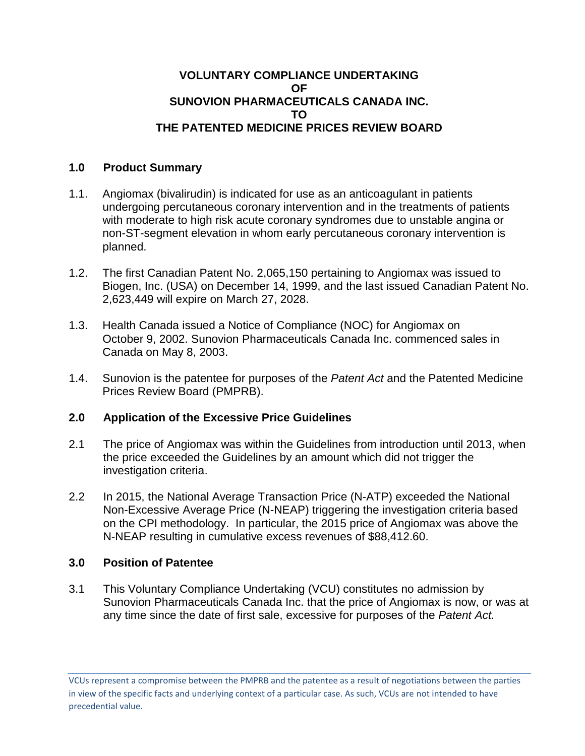### **VOLUNTARY COMPLIANCE UNDERTAKING OF SUNOVION PHARMACEUTICALS CANADA INC. TO THE PATENTED MEDICINE PRICES REVIEW BOARD**

### **1.0 Product Summary**

- 1.1. Angiomax (bivalirudin) is indicated for use as an anticoagulant in patients undergoing percutaneous coronary intervention and in the treatments of patients with moderate to high risk acute coronary syndromes due to unstable angina or non-ST-segment elevation in whom early percutaneous coronary intervention is planned.
- 1.2. The first Canadian Patent No. 2,065,150 pertaining to Angiomax was issued to Biogen, Inc. (USA) on December 14, 1999, and the last issued Canadian Patent No. 2,623,449 will expire on March 27, 2028.
- 1.3. Health Canada issued a Notice of Compliance (NOC) for Angiomax on October 9, 2002. Sunovion Pharmaceuticals Canada Inc. commenced sales in Canada on May 8, 2003.
- 1.4. Sunovion is the patentee for purposes of the *Patent Act* and the Patented Medicine Prices Review Board (PMPRB).

# **2.0 Application of the Excessive Price Guidelines**

- 2.1 The price of Angiomax was within the Guidelines from introduction until 2013, when the price exceeded the Guidelines by an amount which did not trigger the investigation criteria.
- 2.2 In 2015, the National Average Transaction Price (N-ATP) exceeded the National Non-Excessive Average Price (N-NEAP) triggering the investigation criteria based on the CPI methodology. In particular, the 2015 price of Angiomax was above the N-NEAP resulting in cumulative excess revenues of \$88,412.60.

# **3.0 Position of Patentee**

3.1 This Voluntary Compliance Undertaking (VCU) constitutes no admission by Sunovion Pharmaceuticals Canada Inc. that the price of Angiomax is now, or was at any time since the date of first sale, excessive for purposes of the *Patent Act.*

VCUs represent a compromise between the PMPRB and the patentee as a result of negotiations between the parties in view of the specific facts and underlying context of a particular case. As such, VCUs are not intended to have precedential value.